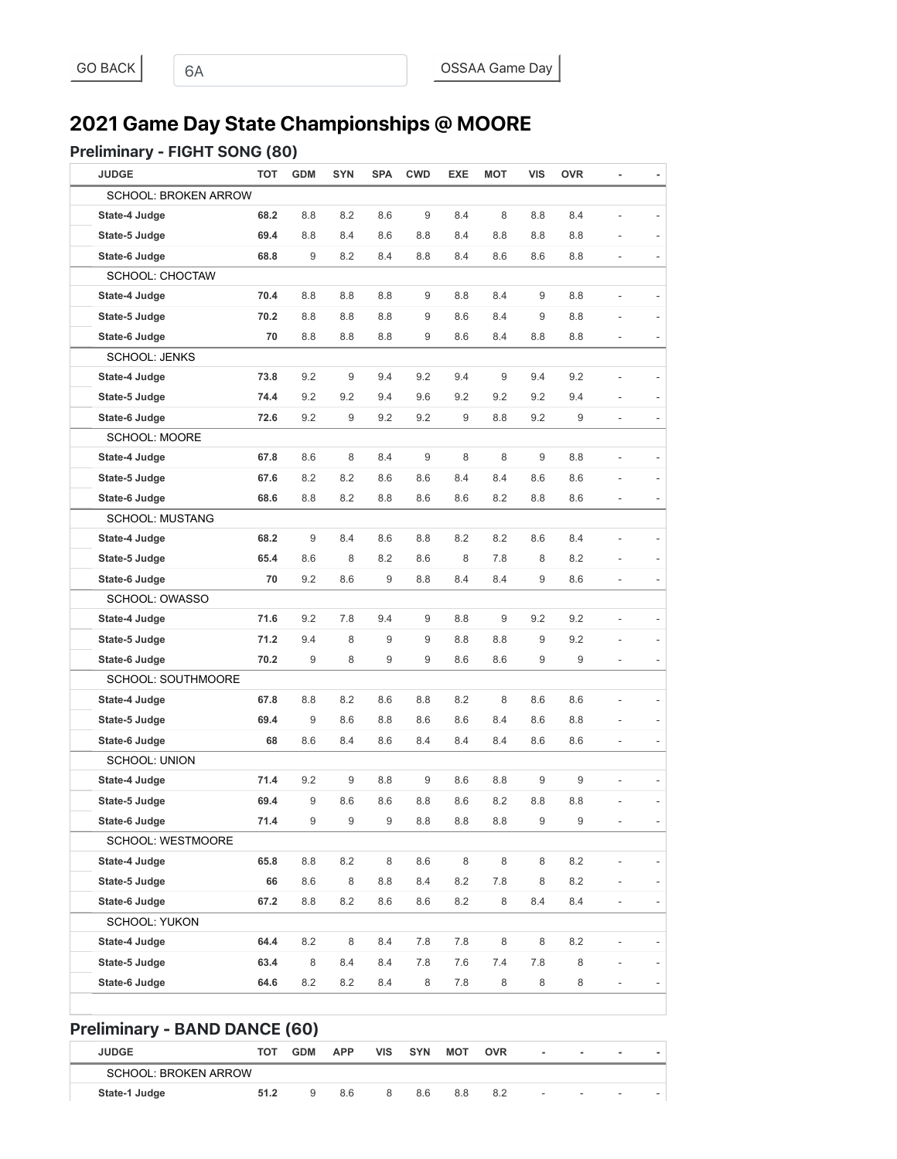# **2021 Game Day State Championships @ MOORE**

### Preliminary - FIGHT SONG (80)

| <b>JUDGE</b>                         | <b>TOT</b> | <b>GDM</b> | <b>SYN</b> | <b>SPA</b> | <b>CWD</b> | <b>EXE</b> | <b>MOT</b>       | <b>VIS</b>               | <b>OVR</b>               | ٠                        |  |
|--------------------------------------|------------|------------|------------|------------|------------|------------|------------------|--------------------------|--------------------------|--------------------------|--|
| <b>SCHOOL: BROKEN ARROW</b>          |            |            |            |            |            |            |                  |                          |                          |                          |  |
| State-4 Judge                        | 68.2       | 8.8        | 8.2        | 8.6        | 9          | 8.4        | 8                | 8.8                      | 8.4                      |                          |  |
| State-5 Judge                        | 69.4       | 8.8        | 8.4        | 8.6        | 8.8        | 8.4        | 8.8              | 8.8                      | 8.8                      |                          |  |
| State-6 Judge                        | 68.8       | 9          | 8.2        | 8.4        | 8.8        | 8.4        | 8.6              | 8.6                      | 8.8                      | $\frac{1}{2}$            |  |
| <b>SCHOOL: CHOCTAW</b>               |            |            |            |            |            |            |                  |                          |                          |                          |  |
| State-4 Judge                        | 70.4       | 8.8        | 8.8        | 8.8        | 9          | 8.8        | 8.4              | 9                        | 8.8                      | ÷,                       |  |
| State-5 Judge                        | 70.2       | 8.8        | 8.8        | 8.8        | 9          | 8.6        | 8.4              | 9                        | 8.8                      |                          |  |
| State-6 Judge                        | 70         | 8.8        | 8.8        | 8.8        | 9          | 8.6        | 8.4              | 8.8                      | 8.8                      |                          |  |
| <b>SCHOOL: JENKS</b>                 |            |            |            |            |            |            |                  |                          |                          |                          |  |
| State-4 Judge                        | 73.8       | 9.2        | 9          | 9.4        | 9.2        | 9.4        | $9\,$            | 9.4                      | 9.2                      |                          |  |
| State-5 Judge                        | 74.4       | 9.2        | 9.2        | 9.4        | 9.6        | 9.2        | 9.2              | 9.2                      | 9.4                      |                          |  |
| State-6 Judge                        | 72.6       | 9.2        | 9          | 9.2        | 9.2        | 9          | 8.8              | 9.2                      | 9                        | $\overline{a}$           |  |
| <b>SCHOOL: MOORE</b>                 |            |            |            |            |            |            |                  |                          |                          |                          |  |
| State-4 Judge                        | 67.8       | 8.6        | 8          | 8.4        | 9          | 8          | 8                | 9                        | 8.8                      | ÷,                       |  |
| State-5 Judge                        | 67.6       | 8.2        | 8.2        | 8.6        | 8.6        | 8.4        | 8.4              | 8.6                      | 8.6                      |                          |  |
| State-6 Judge                        | 68.6       | 8.8        | 8.2        | 8.8        | 8.6        | 8.6        | 8.2              | 8.8                      | 8.6                      |                          |  |
| <b>SCHOOL: MUSTANG</b>               |            |            |            |            |            |            |                  |                          |                          |                          |  |
| State-4 Judge                        | 68.2       | 9          | 8.4        | 8.6        | 8.8        | 8.2        | 8.2              | 8.6                      | 8.4                      |                          |  |
| State-5 Judge                        | 65.4       | 8.6        | 8          | 8.2        | 8.6        | 8          | 7.8              | 8                        | 8.2                      |                          |  |
| State-6 Judge                        | 70         | 9.2        | 8.6        | 9          | 8.8        | 8.4        | 8.4              | 9                        | 8.6                      | L,                       |  |
| SCHOOL: OWASSO                       |            |            |            |            |            |            |                  |                          |                          |                          |  |
| State-4 Judge                        | 71.6       | 9.2        | 7.8        | 9.4        | 9          | 8.8        | $\boldsymbol{9}$ | 9.2                      | 9.2                      |                          |  |
| State-5 Judge                        | 71.2       | 9.4        | 8          | 9          | 9          | 8.8        | 8.8              | 9                        | 9.2                      |                          |  |
| State-6 Judge                        | 70.2       | 9          | 8          | 9          | 9          | 8.6        | 8.6              | 9                        | 9                        |                          |  |
| <b>SCHOOL: SOUTHMOORE</b>            |            |            |            |            |            |            |                  |                          |                          |                          |  |
| State-4 Judge                        | 67.8       | 8.8        | 8.2        | 8.6        | 8.8        | 8.2        | 8                | 8.6                      | 8.6                      |                          |  |
| State-5 Judge                        | 69.4       | 9          | 8.6        | 8.8        | 8.6        | 8.6        | 8.4              | 8.6                      | 8.8                      |                          |  |
| State-6 Judge                        | 68         | 8.6        | 8.4        | 8.6        | 8.4        | 8.4        | 8.4              | 8.6                      | 8.6                      |                          |  |
| <b>SCHOOL: UNION</b>                 |            |            |            |            |            |            |                  |                          |                          |                          |  |
| State-4 Judge                        | 71.4       | 9.2        | 9          | 8.8        | 9          | 8.6        | 8.8              | 9                        | 9                        | ÷,                       |  |
| State-5 Judge                        | 69.4       | 9          | 8.6        | 8.6        | 8.8        | 8.6        | 8.2              | 8.8                      | 8.8                      |                          |  |
| State-6 Judge                        | 71.4       | 9          | 9          | 9          | 8.8        | $8.8\,$    | 8.8              | 9                        | 9                        |                          |  |
| SCHOOL: WESTMOORE                    |            |            |            |            |            |            |                  |                          |                          |                          |  |
| State-4 Judge                        | 65.8       | 8.8        | 8.2        | 8          | 8.6        | 8          | $\,8\,$          | 8                        | 8.2                      |                          |  |
| State-5 Judge                        | 66         | 8.6        | 8          | 8.8        | 8.4        | 8.2        | 7.8              | 8                        | 8.2                      |                          |  |
| State-6 Judge                        | 67.2       | 8.8        | 8.2        | 8.6        | 8.6        | 8.2        | 8                | 8.4                      | 8.4                      |                          |  |
| <b>SCHOOL: YUKON</b>                 |            |            |            |            |            |            |                  |                          |                          |                          |  |
| State-4 Judge                        | 64.4       | 8.2        | 8          | 8.4        | 7.8        | 7.8        | 8                | 8                        | 8.2                      |                          |  |
| State-5 Judge                        | 63.4       | 8          | 8.4        | 8.4        | 7.8        | 7.6        | 7.4              | 7.8                      | 8                        |                          |  |
| State-6 Judge                        | 64.6       | 8.2        | 8.2        | 8.4        | 8          | 7.8        | 8                | 8                        | 8                        |                          |  |
| <b>Preliminary - BAND DANCE (60)</b> |            |            |            |            |            |            |                  |                          |                          |                          |  |
| <b>JUDGE</b>                         | <b>TOT</b> | <b>GDM</b> | <b>APP</b> | <b>VIS</b> | <b>SYN</b> | <b>MOT</b> | <b>OVR</b>       | $\overline{\phantom{a}}$ | $\overline{\phantom{m}}$ | $\overline{\phantom{a}}$ |  |
| <b>SCHOOL: BROKEN ARROW</b>          |            |            |            |            |            |            |                  |                          |                          |                          |  |
| State-1 Judge                        | 51.2       | 9          | 8.6        | 8          | 8.6        | 8.8        | 8.2              |                          |                          |                          |  |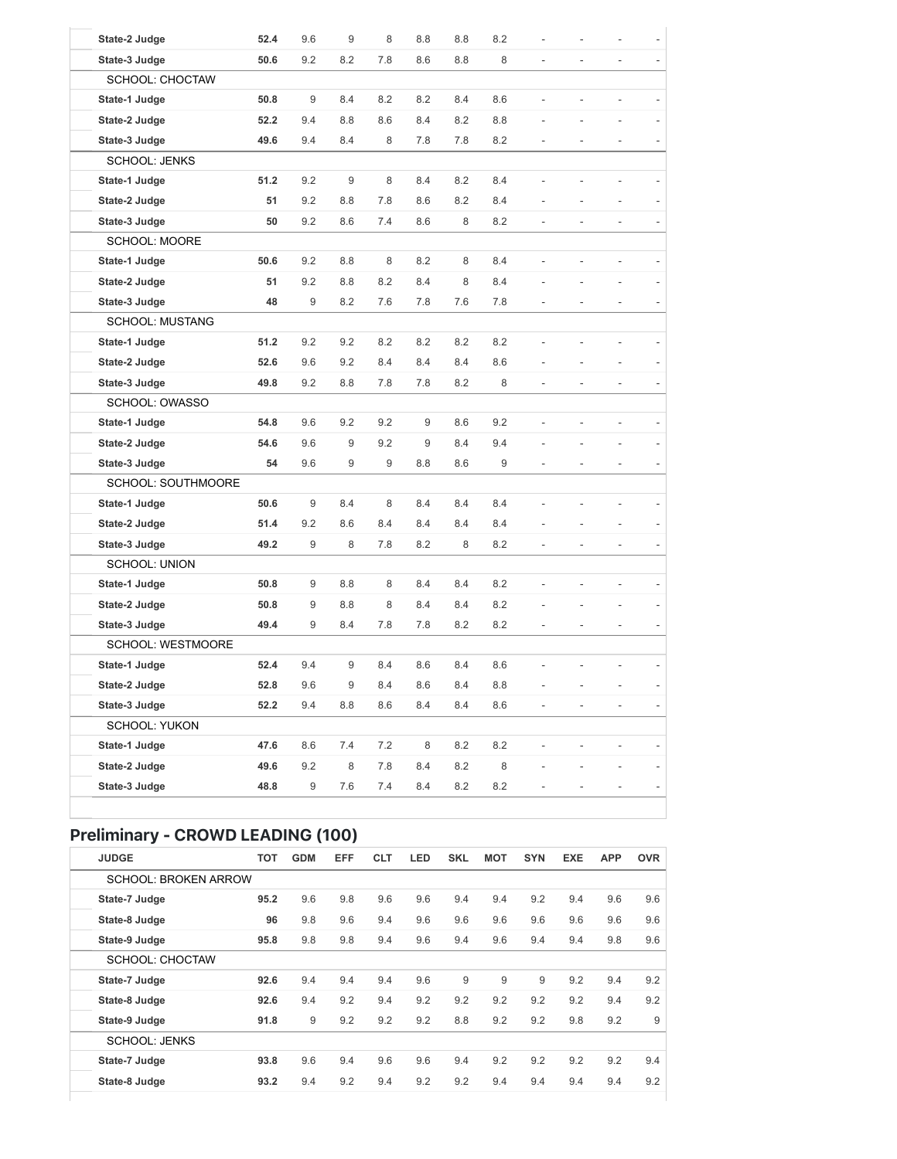| State-2 Judge             | 52.4 | 9.6 | $\boldsymbol{9}$ | 8                | 8.8     | 8.8     | 8.2     |                          |                          | $\overline{a}$ |  |
|---------------------------|------|-----|------------------|------------------|---------|---------|---------|--------------------------|--------------------------|----------------|--|
| State-3 Judge             | 50.6 | 9.2 | 8.2              | 7.8              | 8.6     | 8.8     | 8       |                          |                          |                |  |
| <b>SCHOOL: CHOCTAW</b>    |      |     |                  |                  |         |         |         |                          |                          |                |  |
| State-1 Judge             | 50.8 | 9   | 8.4              | 8.2              | 8.2     | 8.4     | 8.6     |                          |                          |                |  |
| State-2 Judge             | 52.2 | 9.4 | 8.8              | 8.6              | 8.4     | 8.2     | 8.8     |                          |                          |                |  |
| State-3 Judge             | 49.6 | 9.4 | 8.4              | 8                | 7.8     | 7.8     | 8.2     |                          |                          |                |  |
| <b>SCHOOL: JENKS</b>      |      |     |                  |                  |         |         |         |                          |                          |                |  |
| State-1 Judge             | 51.2 | 9.2 | $\boldsymbol{9}$ | 8                | 8.4     | 8.2     | 8.4     |                          |                          |                |  |
| State-2 Judge             | 51   | 9.2 | 8.8              | 7.8              | 8.6     | 8.2     | 8.4     |                          |                          |                |  |
| State-3 Judge             | 50   | 9.2 | 8.6              | 7.4              | 8.6     | 8       | 8.2     |                          |                          |                |  |
| <b>SCHOOL: MOORE</b>      |      |     |                  |                  |         |         |         |                          |                          |                |  |
| State-1 Judge             | 50.6 | 9.2 | 8.8              | 8                | 8.2     | 8       | 8.4     | $\overline{a}$           | L,                       |                |  |
| State-2 Judge             | 51   | 9.2 | 8.8              | 8.2              | 8.4     | 8       | 8.4     |                          |                          |                |  |
| State-3 Judge             | 48   | 9   | 8.2              | 7.6              | 7.8     | 7.6     | 7.8     |                          |                          |                |  |
| <b>SCHOOL: MUSTANG</b>    |      |     |                  |                  |         |         |         |                          |                          |                |  |
| State-1 Judge             | 51.2 | 9.2 | 9.2              | 8.2              | 8.2     | 8.2     | 8.2     |                          |                          |                |  |
| State-2 Judge             | 52.6 | 9.6 | 9.2              | 8.4              | 8.4     | 8.4     | 8.6     |                          |                          |                |  |
| State-3 Judge             | 49.8 | 9.2 | 8.8              | 7.8              | 7.8     | 8.2     | 8       | $\frac{1}{2}$            | $\overline{\phantom{m}}$ | L,             |  |
| SCHOOL: OWASSO            |      |     |                  |                  |         |         |         |                          |                          |                |  |
| State-1 Judge             | 54.8 | 9.6 | 9.2              | 9.2              | 9       | 8.6     | 9.2     |                          |                          |                |  |
| State-2 Judge             | 54.6 | 9.6 | $\boldsymbol{9}$ | 9.2              | 9       | 8.4     | 9.4     |                          |                          |                |  |
| State-3 Judge             | 54   | 9.6 | 9                | $\boldsymbol{9}$ | 8.8     | 8.6     | 9       |                          |                          |                |  |
| <b>SCHOOL: SOUTHMOORE</b> |      |     |                  |                  |         |         |         |                          |                          |                |  |
| State-1 Judge             | 50.6 | 9   | 8.4              | 8                | 8.4     | 8.4     | 8.4     |                          |                          |                |  |
| State-2 Judge             | 51.4 | 9.2 | 8.6              | 8.4              | 8.4     | 8.4     | 8.4     |                          |                          |                |  |
| State-3 Judge             | 49.2 | 9   | 8                | 7.8              | 8.2     | 8       | 8.2     | $\overline{\phantom{a}}$ | $\overline{\phantom{0}}$ | $\overline{a}$ |  |
| <b>SCHOOL: UNION</b>      |      |     |                  |                  |         |         |         |                          |                          |                |  |
| State-1 Judge             | 50.8 | 9   | 8.8              | 8                | 8.4     | 8.4     | 8.2     | L,                       | $\overline{a}$           | L,             |  |
| State-2 Judge             | 50.8 | 9   | 8.8              | 8                | 8.4     | 8.4     | 8.2     |                          |                          |                |  |
| State-3 Judge             | 49.4 | 9   | 8.4              | 7.8              | 7.8     | 8.2     | 8.2     |                          |                          |                |  |
| <b>SCHOOL: WESTMOORE</b>  |      |     |                  |                  |         |         |         |                          |                          |                |  |
| State-1 Judge             | 52.4 | 9.4 | 9                | 8.4              | 8.6     | 8.4     | 8.6     |                          |                          |                |  |
| State-2 Judge             | 52.8 | 9.6 | 9                | 8.4              | $8.6\,$ | 8.4     | 8.8     |                          |                          |                |  |
| State-3 Judge             | 52.2 | 9.4 | $8.8\,$          | 8.6              | 8.4     | 8.4     | 8.6     | $\overline{\phantom{a}}$ | $\overline{\phantom{0}}$ | ÷,             |  |
| SCHOOL: YUKON             |      |     |                  |                  |         |         |         |                          |                          |                |  |
| State-1 Judge             | 47.6 | 8.6 | 7.4              | $7.2\,$          | 8       | $8.2\,$ | $8.2\,$ | $\frac{1}{2}$            | $\frac{1}{2}$            | $\frac{1}{2}$  |  |
| State-2 Judge             | 49.6 | 9.2 | $\,8\,$          | 7.8              | 8.4     | 8.2     | 8       | L.                       |                          |                |  |
| State-3 Judge             | 48.8 | 9   | 7.6              | $7.4$            | 8.4     | 8.2     | 8.2     | $\qquad \qquad -$        |                          |                |  |

## Preliminary - CROWD LEADING (100)

| <b>JUDGE</b>                | <b>TOT</b> | <b>GDM</b> | <b>EFF</b> | <b>CLT</b> | LED | <b>SKL</b> | <b>MOT</b> | <b>SYN</b> | <b>EXE</b> | <b>APP</b> | <b>OVR</b> |
|-----------------------------|------------|------------|------------|------------|-----|------------|------------|------------|------------|------------|------------|
| <b>SCHOOL: BROKEN ARROW</b> |            |            |            |            |     |            |            |            |            |            |            |
| State-7 Judge               | 95.2       | 9.6        | 9.8        | 9.6        | 9.6 | 9.4        | 9.4        | 9.2        | 9.4        | 9.6        | 9.6        |
| State-8 Judge               | 96         | 9.8        | 9.6        | 9.4        | 9.6 | 9.6        | 9.6        | 9.6        | 9.6        | 9.6        | 9.6        |
| State-9 Judge               | 95.8       | 9.8        | 9.8        | 9.4        | 9.6 | 9.4        | 9.6        | 9.4        | 9.4        | 9.8        | 9.6        |
| <b>SCHOOL: CHOCTAW</b>      |            |            |            |            |     |            |            |            |            |            |            |
| State-7 Judge               | 92.6       | 9.4        | 9.4        | 9.4        | 9.6 | 9          | 9          | 9          | 9.2        | 9.4        | 9.2        |
| State-8 Judge               | 92.6       | 9.4        | 9.2        | 9.4        | 9.2 | 9.2        | 9.2        | 9.2        | 9.2        | 9.4        | 9.2        |
| State-9 Judge               | 91.8       | 9          | 9.2        | 9.2        | 9.2 | 8.8        | 9.2        | 9.2        | 9.8        | 9.2        | 9          |
| <b>SCHOOL: JENKS</b>        |            |            |            |            |     |            |            |            |            |            |            |
| State-7 Judge               | 93.8       | 9.6        | 9.4        | 9.6        | 9.6 | 9.4        | 9.2        | 9.2        | 9.2        | 9.2        | 9.4        |
| State-8 Judge               | 93.2       | 9.4        | 9.2        | 9.4        | 9.2 | 9.2        | 9.4        | 9.4        | 9.4        | 9.4        | 9.2        |
|                             |            |            |            |            |     |            |            |            |            |            |            |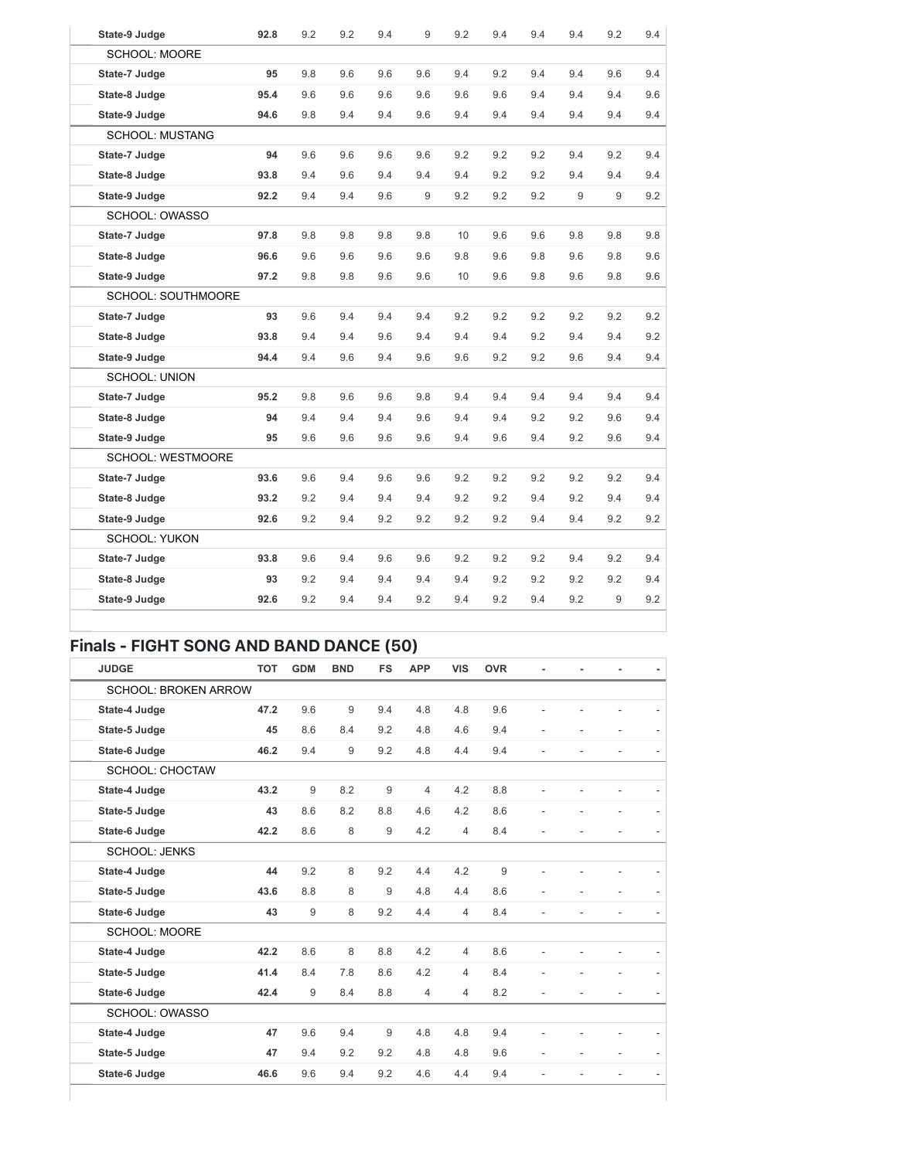| State-9 Judge             | 92.8 | 9.2 | 9.2 | 9.4 | 9   | 9.2 | 9.4 | 9.4 | 9.4 | 9.2 | 9.4 |
|---------------------------|------|-----|-----|-----|-----|-----|-----|-----|-----|-----|-----|
| <b>SCHOOL: MOORE</b>      |      |     |     |     |     |     |     |     |     |     |     |
| State-7 Judge             | 95   | 9.8 | 9.6 | 9.6 | 9.6 | 9.4 | 9.2 | 9.4 | 9.4 | 9.6 | 9.4 |
| State-8 Judge             | 95.4 | 9.6 | 9.6 | 9.6 | 9.6 | 9.6 | 9.6 | 9.4 | 9.4 | 9.4 | 9.6 |
| State-9 Judge             | 94.6 | 9.8 | 9.4 | 9.4 | 9.6 | 9.4 | 9.4 | 9.4 | 9.4 | 9.4 | 9.4 |
| <b>SCHOOL: MUSTANG</b>    |      |     |     |     |     |     |     |     |     |     |     |
| State-7 Judge             | 94   | 9.6 | 9.6 | 9.6 | 9.6 | 9.2 | 9.2 | 9.2 | 9.4 | 9.2 | 9.4 |
| State-8 Judge             | 93.8 | 9.4 | 9.6 | 9.4 | 9.4 | 9.4 | 9.2 | 9.2 | 9.4 | 9.4 | 9.4 |
| State-9 Judge             | 92.2 | 9.4 | 9.4 | 9.6 | 9   | 9.2 | 9.2 | 9.2 | 9   | 9   | 9.2 |
| SCHOOL: OWASSO            |      |     |     |     |     |     |     |     |     |     |     |
| State-7 Judge             | 97.8 | 9.8 | 9.8 | 9.8 | 9.8 | 10  | 9.6 | 9.6 | 9.8 | 9.8 | 9.8 |
| State-8 Judge             | 96.6 | 9.6 | 9.6 | 9.6 | 9.6 | 9.8 | 9.6 | 9.8 | 9.6 | 9.8 | 9.6 |
| State-9 Judge             | 97.2 | 9.8 | 9.8 | 9.6 | 9.6 | 10  | 9.6 | 9.8 | 9.6 | 9.8 | 9.6 |
| <b>SCHOOL: SOUTHMOORE</b> |      |     |     |     |     |     |     |     |     |     |     |
| State-7 Judge             | 93   | 9.6 | 9.4 | 9.4 | 9.4 | 9.2 | 9.2 | 9.2 | 9.2 | 9.2 | 9.2 |
| State-8 Judge             | 93.8 | 9.4 | 9.4 | 9.6 | 9.4 | 9.4 | 9.4 | 9.2 | 9.4 | 9.4 | 9.2 |
| State-9 Judge             | 94.4 | 9.4 | 9.6 | 9.4 | 9.6 | 9.6 | 9.2 | 9.2 | 9.6 | 9.4 | 9.4 |
| <b>SCHOOL: UNION</b>      |      |     |     |     |     |     |     |     |     |     |     |
| State-7 Judge             | 95.2 | 9.8 | 9.6 | 9.6 | 9.8 | 9.4 | 9.4 | 9.4 | 9.4 | 9.4 | 9.4 |
| State-8 Judge             | 94   | 9.4 | 9.4 | 9.4 | 9.6 | 9.4 | 9.4 | 9.2 | 9.2 | 9.6 | 9.4 |
| State-9 Judge             | 95   | 9.6 | 9.6 | 9.6 | 9.6 | 9.4 | 9.6 | 9.4 | 9.2 | 9.6 | 9.4 |
| SCHOOL: WESTMOORE         |      |     |     |     |     |     |     |     |     |     |     |
| State-7 Judge             | 93.6 | 9.6 | 9.4 | 9.6 | 9.6 | 9.2 | 9.2 | 9.2 | 9.2 | 9.2 | 9.4 |
| State-8 Judge             | 93.2 | 9.2 | 9.4 | 9.4 | 9.4 | 9.2 | 9.2 | 9.4 | 9.2 | 9.4 | 9.4 |
| State-9 Judge             | 92.6 | 9.2 | 9.4 | 9.2 | 9.2 | 9.2 | 9.2 | 9.4 | 9.4 | 9.2 | 9.2 |
| <b>SCHOOL: YUKON</b>      |      |     |     |     |     |     |     |     |     |     |     |
| State-7 Judge             | 93.8 | 9.6 | 9.4 | 9.6 | 9.6 | 9.2 | 9.2 | 9.2 | 9.4 | 9.2 | 9.4 |
| State-8 Judge             | 93   | 9.2 | 9.4 | 9.4 | 9.4 | 9.4 | 9.2 | 9.2 | 9.2 | 9.2 | 9.4 |
| State-9 Judge             | 92.6 | 9.2 | 9.4 | 9.4 | 9.2 | 9.4 | 9.2 | 9.4 | 9.2 | 9   | 9.2 |
|                           |      |     |     |     |     |     |     |     |     |     |     |

### Finals - FIGHT SONG AND BAND DANCE (50)

| <b>JUDGE</b>                | <b>TOT</b> | <b>GDM</b>       | <b>BND</b> | <b>FS</b> | <b>APP</b>     | <b>VIS</b>     | <b>OVR</b> |    |    |                          |  |
|-----------------------------|------------|------------------|------------|-----------|----------------|----------------|------------|----|----|--------------------------|--|
| <b>SCHOOL: BROKEN ARROW</b> |            |                  |            |           |                |                |            |    |    |                          |  |
| State-4 Judge               | 47.2       | 9.6              | 9          | 9.4       | 4.8            | 4.8            | 9.6        |    |    |                          |  |
| State-5 Judge               | 45         | 8.6              | 8.4        | 9.2       | 4.8            | 4.6            | 9.4        |    |    |                          |  |
| State-6 Judge               | 46.2       | 9.4              | 9          | 9.2       | 4.8            | 4.4            | 9.4        |    | ä, | L,                       |  |
| SCHOOL: CHOCTAW             |            |                  |            |           |                |                |            |    |    |                          |  |
| State-4 Judge               | 43.2       | 9                | 8.2        | 9         | $\overline{4}$ | 4.2            | 8.8        |    |    |                          |  |
| State-5 Judge               | 43         | 8.6              | 8.2        | 8.8       | 4.6            | 4.2            | 8.6        |    |    |                          |  |
| State-6 Judge               | 42.2       | 8.6              | 8          | 9         | 4.2            | $\overline{4}$ | 8.4        |    |    |                          |  |
| <b>SCHOOL: JENKS</b>        |            |                  |            |           |                |                |            |    |    |                          |  |
| State-4 Judge               | 44         | 9.2              | 8          | 9.2       | 4.4            | 4.2            | 9          |    |    |                          |  |
| State-5 Judge               | 43.6       | 8.8              | 8          | 9         | 4.8            | 4.4            | 8.6        |    |    |                          |  |
| State-6 Judge               | 43         | $\boldsymbol{9}$ | 8          | 9.2       | 4.4            | $\overline{4}$ | 8.4        | L. |    | L,                       |  |
| SCHOOL: MOORE               |            |                  |            |           |                |                |            |    |    |                          |  |
| State-4 Judge               | 42.2       | 8.6              | 8          | 8.8       | 4.2            | $\overline{4}$ | 8.6        |    | L. | $\overline{\phantom{0}}$ |  |
| State-5 Judge               | 41.4       | 8.4              | 7.8        | 8.6       | 4.2            | $\overline{4}$ | 8.4        |    |    |                          |  |
| State-6 Judge               | 42.4       | 9                | 8.4        | 8.8       | 4              | $\overline{4}$ | 8.2        |    |    |                          |  |
| SCHOOL: OWASSO              |            |                  |            |           |                |                |            |    |    |                          |  |
| State-4 Judge               | 47         | 9.6              | 9.4        | 9         | 4.8            | 4.8            | 9.4        |    |    |                          |  |
| State-5 Judge               | 47         | 9.4              | 9.2        | 9.2       | 4.8            | 4.8            | 9.6        |    |    |                          |  |
| State-6 Judge               | 46.6       | 9.6              | 9.4        | 9.2       | 4.6            | 4.4            | 9.4        |    |    |                          |  |